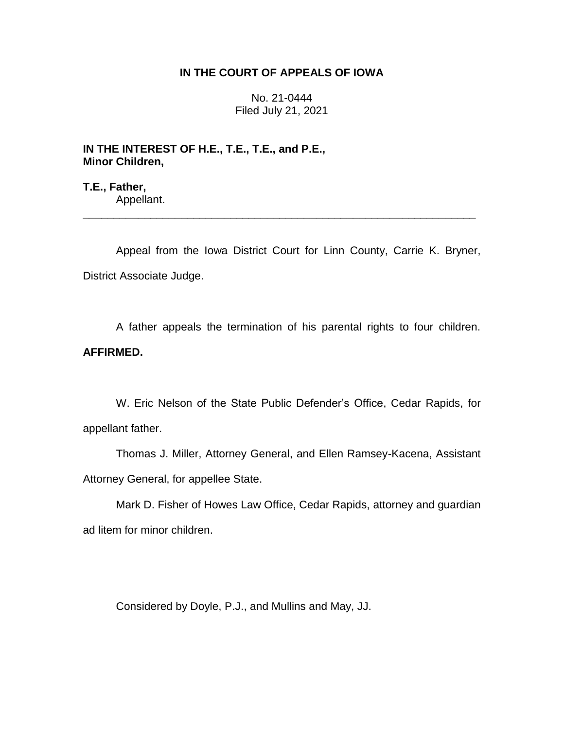## **IN THE COURT OF APPEALS OF IOWA**

No. 21-0444 Filed July 21, 2021

**IN THE INTEREST OF H.E., T.E., T.E., and P.E., Minor Children,**

**T.E., Father,** Appellant.

Appeal from the Iowa District Court for Linn County, Carrie K. Bryner, District Associate Judge.

\_\_\_\_\_\_\_\_\_\_\_\_\_\_\_\_\_\_\_\_\_\_\_\_\_\_\_\_\_\_\_\_\_\_\_\_\_\_\_\_\_\_\_\_\_\_\_\_\_\_\_\_\_\_\_\_\_\_\_\_\_\_\_\_

A father appeals the termination of his parental rights to four children. **AFFIRMED.**

W. Eric Nelson of the State Public Defender's Office, Cedar Rapids, for appellant father.

Thomas J. Miller, Attorney General, and Ellen Ramsey-Kacena, Assistant Attorney General, for appellee State.

Mark D. Fisher of Howes Law Office, Cedar Rapids, attorney and guardian ad litem for minor children.

Considered by Doyle, P.J., and Mullins and May, JJ.